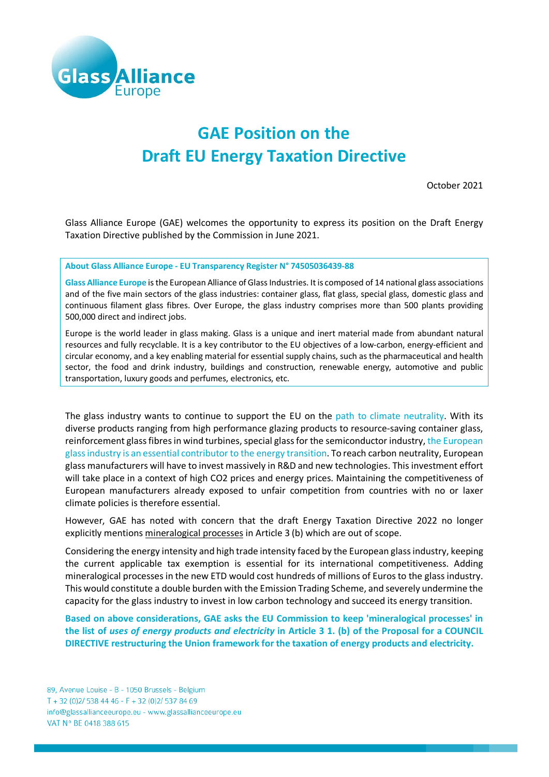

## **GAE Position on the Draft EU Energy Taxation Directive**

October 2021

Glass Alliance Europe (GAE) welcomes the opportunity to express its position on the Draft Energy Taxation Directive published by the Commission in June 2021.

**About Glass Alliance Europe - EU Transparency Register N° 74505036439-88**

**Glass Alliance Europe** is the European Alliance of Glass Industries. It is composed of 14 national glass associations and of the five main sectors of the glass industries: container glass, flat glass, special glass, domestic glass and continuous filament glass fibres. Over Europe, the glass industry comprises more than 500 plants providing 500,000 direct and indirect jobs.

Europe is the world leader in glass making. Glass is a unique and inert material made from abundant natural resources and fully recyclable. It is a key contributor to the EU objectives of a low-carbon, energy-efficient and circular economy, and a key enabling material for essential supply chains, such as the pharmaceutical and health sector, the food and drink industry, buildings and construction, renewable energy, automotive and public transportation, luxury goods and perfumes, electronics, etc.

The glass industry wants to continue to support the EU on the path to climate neutrality. With its diverse products ranging from high performance glazing products to resource-saving container glass, reinforcement glass fibres in wind turbines, special glass for the semiconductor industry, the European glass industry is an essential contributor to the energy transition. To reach carbon neutrality, European glass manufacturers will have to invest massively in R&D and new technologies. This investment effort will take place in a context of high CO2 prices and energy prices. Maintaining the competitiveness of European manufacturers already exposed to unfair competition from countries with no or laxer climate policies is therefore essential.

However, GAE has noted with concern that the draft Energy Taxation Directive 2022 no longer explicitly mentions mineralogical processes in Article 3 (b) which are out of scope.

Considering the energy intensity and high trade intensity faced by the European glass industry, keeping the current applicable tax exemption is essential for its international competitiveness. Adding mineralogical processes in the new ETD would cost hundreds of millions of Euros to the glass industry. This would constitute a double burden with the Emission Trading Scheme, and severely undermine the capacity for the glass industry to invest in low carbon technology and succeed its energy transition.

**Based on above considerations, GAE asks the EU Commission to keep 'mineralogical processes' in the list of** *uses of energy products and electricity* **in Article 3 1. (b) of the Proposal for a COUNCIL DIRECTIVE restructuring the Union framework for the taxation of energy products and electricity.**